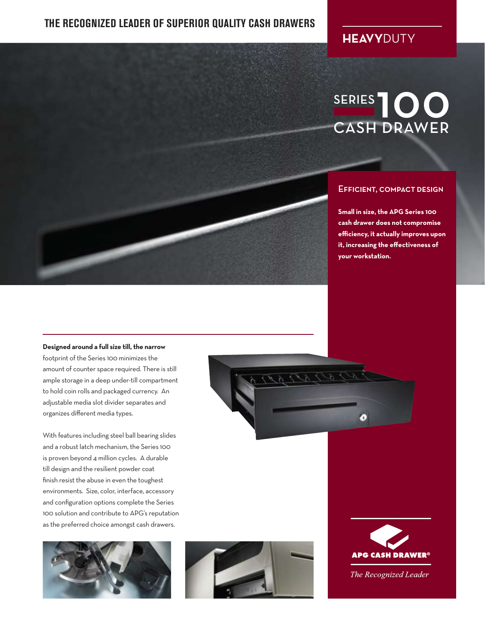### **THE RECOGNIZED LEADER OF SUPERIOR QUALITY CASH DRAWERS**

### **HEAVY**DUTY

## SERIES<sup>1</sup>000 CASH DRAWER

#### **EFFICIENT, COMPACT DESIGN**

**Small in size, the APG Series 100** the effectiveness of your workstation. **cash drawer does not compromise efficiency, it actually improves upon it, increasing the effectiveness of your workstation.**

#### **Designed around a full size till, the narrow**

footprint of the Series 100 minimizes the amount of counter space required. There is still ample storage in a deep under-till compartment to hold coin rolls and packaged currency. An adjustable media slot divider separates and organizes different media types.

With features including steel ball bearing slides and a robust latch mechanism, the Series 100 is proven beyond 4 million cycles. A durable till design and the resilient powder coat finish resist the abuse in even the toughest environments. Size, color, interface, accessory and configuration options complete the Series 100 solution and contribute to APG's reputation as the preferred choice amongst cash drawers.









The Recognized Leader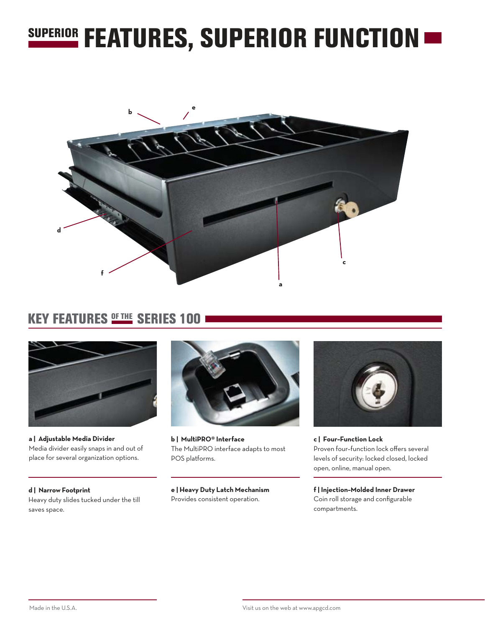## SUPERIOR FEATURES, SUPERIOR FUNCTION  $\blacksquare$



### KEY FEATURES **OF THE SERIES 100**



**a | Adjustable Media Divider** Media divider easily snaps in and out of place for several organization options.

**d | Narrow Footprint** Heavy duty slides tucked under the till saves space.



**b | MultiPRO® Interface** The MultiPRO interface adapts to most POS platforms.

**e | Heavy Duty Latch Mechanism** Provides consistent operation.



**c | Four–Function Lock** Proven four–function lock offers several levels of security: locked closed, locked open, online, manual open.

**f | Injection–Molded Inner Drawer** Coin roll storage and configurable compartments.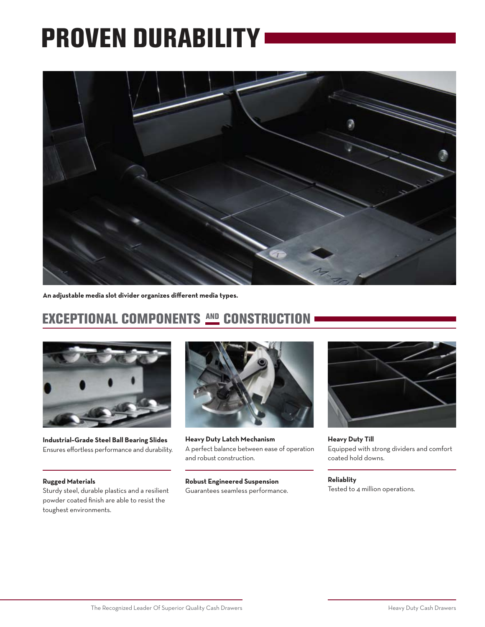# PROVEN DURABILITY



**An adjustable media slot divider organizes different media types.**

## EXCEPTIONAL COMPONENTS AND CONSTRUCTION



**Industrial–Grade Steel Ball Bearing Slides** Ensures effortless performance and durability.

#### **Rugged Materials**

Sturdy steel, durable plastics and a resilient powder coated finish are able to resist the toughest environments.



**Heavy Duty Latch Mechanism** A perfect balance between ease of operation and robust construction.

#### **Robust Engineered Suspension**

Guarantees seamless performance.



**Heavy Duty Till** Equipped with strong dividers and comfort coated hold downs.

**Reliablity** Tested to 4 million operations.